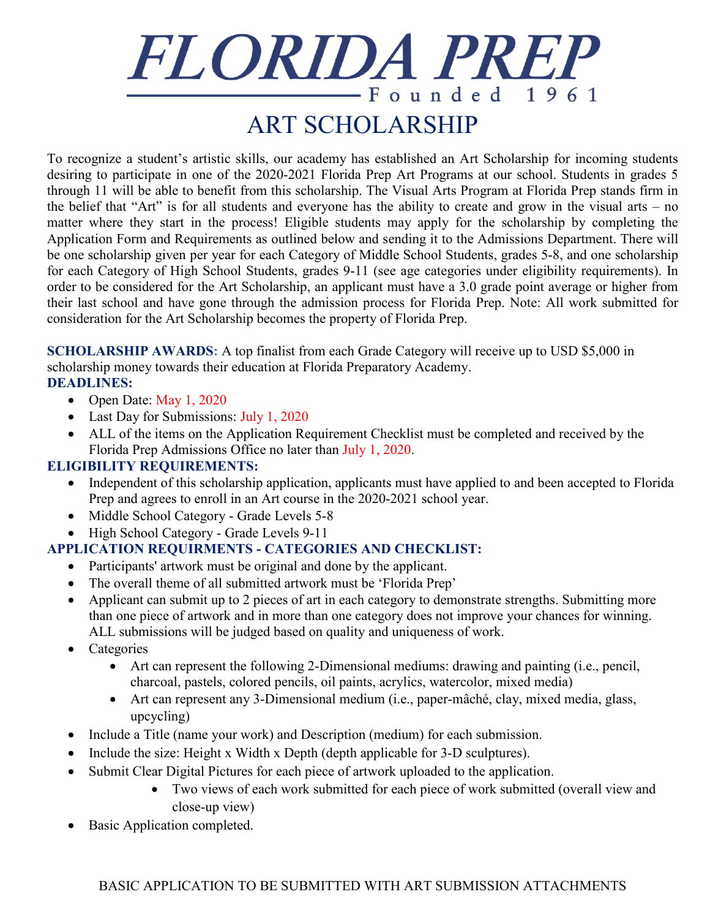# FLORIDA PREP  $-$ Founded 1961 ART SCHOLARSHIP

To recognize a student's artistic skills, our academy has established an Art Scholarship for incoming students desiring to participate in one of the 2020-2021 Florida Prep Art Programs at our school. Students in grades 5 through 11 will be able to benefit from this scholarship. The Visual Arts Program at Florida Prep stands firm in the belief that "Art" is for all students and everyone has the ability to create and grow in the visual arts – no matter where they start in the process! Eligible students may apply for the scholarship by completing the Application Form and Requirements as outlined below and sending it to the Admissions Department. There will be one scholarship given per year for each Category of Middle School Students, grades 5-8, and one scholarship for each Category of High School Students, grades 9-11 (see age categories under eligibility requirements). In order to be considered for the Art Scholarship, an applicant must have a 3.0 grade point average or higher from their last school and have gone through the admission process for Florida Prep. Note: All work submitted for consideration for the Art Scholarship becomes the property of Florida Prep.

**SCHOLARSHIP AWARDS:** A top finalist from each Grade Category will receive up to USD \$5,000 in scholarship money towards their education at Florida Preparatory Academy. **DEADLINES:**

- Open Date: May 1, 2020
- Last Day for Submissions: July 1, 2020
- ALL of the items on the Application Requirement Checklist must be completed and received by the Florida Prep Admissions Office no later than July 1, 2020.

### **ELIGIBILITY REQUIREMENTS:**

- Independent of this scholarship application, applicants must have applied to and been accepted to Florida Prep and agrees to enroll in an Art course in the 2020-2021 school year.
- Middle School Category Grade Levels 5-8
- High School Category Grade Levels 9-11

## **APPLICATION REQUIRMENTS - CATEGORIES AND CHECKLIST:**

- Participants' artwork must be original and done by the applicant.
- The overall theme of all submitted artwork must be 'Florida Prep'
- Applicant can submit up to 2 pieces of art in each category to demonstrate strengths. Submitting more than one piece of artwork and in more than one category does not improve your chances for winning. ALL submissions will be judged based on quality and uniqueness of work.
- Categories
	- Art can represent the following 2-Dimensional mediums: drawing and painting (i.e., pencil, charcoal, pastels, colored pencils, oil paints, acrylics, watercolor, mixed media)
	- Art can represent any 3-Dimensional medium (i.e., paper-mâché, clay, mixed media, glass, upcycling)
- Include a Title (name your work) and Description (medium) for each submission.
- Include the size: Height x Width x Depth (depth applicable for 3-D sculptures).
- Submit Clear Digital Pictures for each piece of artwork uploaded to the application.
	- Two views of each work submitted for each piece of work submitted (overall view and close-up view)
- Basic Application completed.